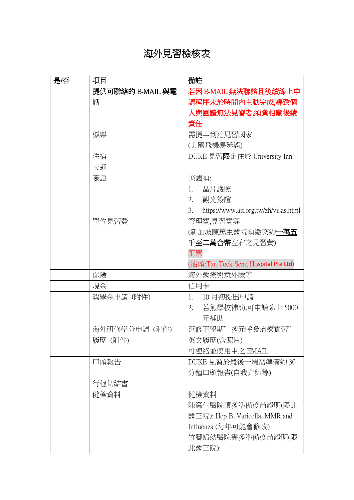## 海外見習檢核表

| 是否 | 項目               | 備註                                         |
|----|------------------|--------------------------------------------|
|    | 提供可聯絡的 E-MAIL 與電 | 若因 E-MAIL 無法聯絡且後續線上申                       |
|    | 話                | 請程序未於時間內主動完成,導致個                           |
|    |                  | 人與團體無法見習者,須負相關後續                           |
|    |                  | 責任                                         |
|    | 機票               | 需提早到達見習國家                                  |
|    |                  | (美國飛機易延誤)                                  |
|    | 住宿               | DUKE 見習限定住於 University Inn                 |
|    | 交通               |                                            |
|    | 簽證               | 美國須:                                       |
|    |                  | 晶片護照<br>1.                                 |
|    |                  | 觀光簽證<br>2.                                 |
|    |                  | 3.<br>https://www.ait.org.tw/zh/visas.html |
|    | 單位見習費            | 管理費,見習費等                                   |
|    |                  | (新加坡陳篤生醫院須繳交約一 <b>萬五</b>                   |
|    |                  | 千至二萬台幣左右之見習費)                              |
|    |                  | 匯票                                         |
|    |                  | (抬頭:Tan Tock Seng Hospital Pte Ltd)        |
|    | 保險               | 海外醫療與意外險等                                  |
|    | 現金               | 信用卡                                        |
|    | 獎學金申請 (附件)       | 10月初提出申請<br>1.                             |
|    |                  | 若無學校補助,可申請系上5000<br>2.                     |
|    |                  | 元補助                                        |
|    | 海外研修學分申請 (附件)    | 選修下學期"多元呼吸治療實習"                            |
|    | 履歷(附件)           | 英文履歷(含照片)                                  |
|    |                  | 可連絡並使用中之 EMAIL                             |
|    | 口頭報告             | DUKE 見習於最後一周需準備約 30                        |
|    |                  | 分鐘口頭報告(自我介紹等)                              |
|    | 行程切結書            |                                            |
|    | 健檢資料             | 健檢資料                                       |
|    |                  | 陳篤生醫院須多準備疫苗證明(限北                           |
|    |                  | 醫三院): Hep B, Varicella, MMR and            |
|    |                  | Influenza (每年可能會修改)                        |
|    |                  | 竹腳婦幼醫院需多準備疫苗證明(限                           |
|    |                  | 北醫三院):                                     |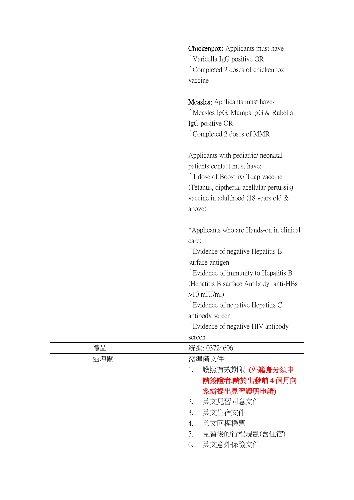|     | Chickenpox: Applicants must have-                    |
|-----|------------------------------------------------------|
|     |                                                      |
|     | "Varicella IgG positive OR                           |
|     | Completed 2 doses of chickenpox                      |
|     | vaccine                                              |
|     | <b>Measles:</b> Applicants must have-                |
|     | Measles IgG, Mumps IgG & Rubella                     |
|     | IgG positive OR                                      |
|     | Completed 2 doses of MMR                             |
|     |                                                      |
|     | Applicants with pediatric/ neonatal                  |
|     | patients contact must have:                          |
|     | " 1 dose of Boostrix/Tdap vaccine                    |
|     | (Tetanus, diptheria, acellular pertussis)            |
|     | vaccine in adulthood (18 years old $\&$              |
|     | above)                                               |
|     |                                                      |
|     | *Applicants who are Hands-on in clinical             |
|     | care:                                                |
|     | Evidence of negative Hepatitis B                     |
|     | surface antigen                                      |
|     | Evidence of immunity to Hepatitis B                  |
|     | (Hepatitis B surface Antibody [anti-HBs]             |
|     | $>10$ mIU/ml)                                        |
|     | Evidence of negative Hepatitis C                     |
|     | antibody screen<br>Evidence of negative HIV antibody |
|     | screen                                               |
| 禮品  | 統編: 03724606                                         |
| 過海關 | 需準備文件:                                               |
|     | 護照有效期限(外籍身分須申<br>1.                                  |
|     | 請簽證者,請於出發前4個月向                                       |
|     | 系辦提出見習證明申請)                                          |
|     |                                                      |
|     |                                                      |
|     | 英文見習同意文件<br>2.                                       |
|     | 3.<br>英文住宿文件                                         |
|     | 英文回程機票<br>4.<br>見習後的行程規劃(含住宿)<br>5.                  |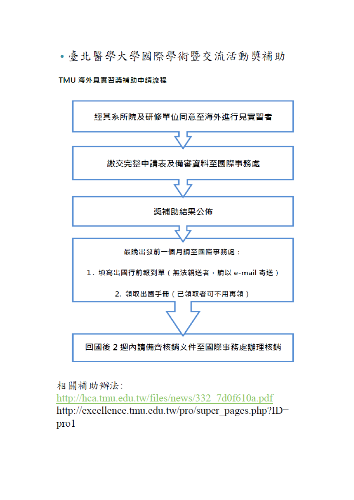• 臺北醫學大學國際學術暨交流活動獎補助

## TMU 海外見實習獎補助申請流程



相關補助辦法:

http://hca.tmu.edu.tw/files/news/332 7d0f610a.pdf http://excellence.tmu.edu.tw/pro/super\_pages.php?ID=  $\text{pro}1$